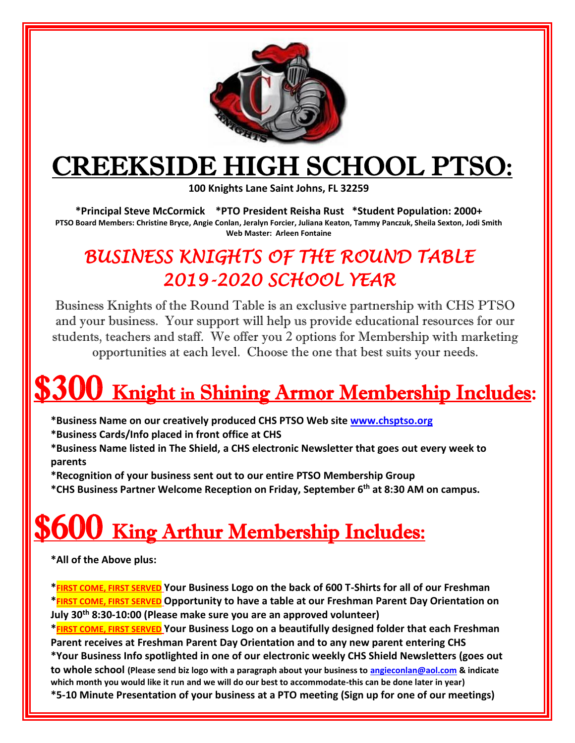

## CREEKSIDE HIGH SCHOOL PTSO:

**100 Knights Lane Saint Johns, FL 32259** 

**\*Principal Steve McCormick \*PTO President Reisha Rust \*Student Population: 2000+ PTSO Board Members: Christine Bryce, Angie Conlan, Jeralyn Forcier, Juliana Keaton, Tammy Panczuk, Sheila Sexton, Jodi Smith Web Master: Arleen Fontaine**

### *BUSINESS KNIGHTS OF THE ROUND TABLE 2019-2020 SCHOOL YEAR*

Business Knights of the Round Table is an exclusive partnership with CHS PTSO and your business. Your support will help us provide educational resources for our students, teachers and staff. We offer you 2 options for Membership with marketing opportunities at each level. Choose the one that best suits your needs.

# **300** Knight in Shining Armor Membership Includes:

- **\*Business Name on our creatively produced CHS PTSO Web site [www.chsptso.org](http://www.chsptso.org/)**
- **\*Business Cards/Info placed in front office at CHS**
- **\*Business Name listed in The Shield, a CHS electronic Newsletter that goes out every week to parents**
- **\*Recognition of your business sent out to our entire PTSO Membership Group**
- **\*CHS Business Partner Welcome Reception on Friday, September 6 th at 8:30 AM on campus.**

# **U King Arthur Membership Includes:**

**\*All of the Above plus:**

**\*FIRST COME, FIRST SERVED Your Business Logo on the back of 600 T-Shirts for all of our Freshman \*FIRST COME, FIRST SERVED Opportunity to have a table at our Freshman Parent Day Orientation on July 30th 8:30-10:00 (Please make sure you are an approved volunteer)**

**\*FIRST COME, FIRST SERVED Your Business Logo on a beautifully designed folder that each Freshman Parent receives at Freshman Parent Day Orientation and to any new parent entering CHS \*Your Business Info spotlighted in one of our electronic weekly CHS Shield Newsletters (goes out to whole school (Please send biz logo with a paragraph about your business to [angieconlan@aol.com](mailto:angieconlan@aol.com) & indicate which month you would like it run and we will do our best to accommodate-this can be done later in year) \*5-10 Minute Presentation of your business at a PTO meeting (Sign up for one of our meetings)**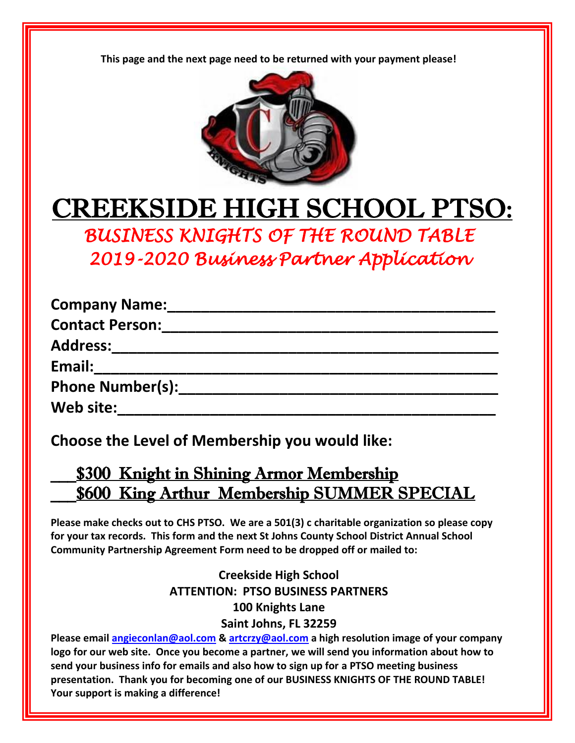**This page and the next page need to be returned with your payment please!**



## CREEKSIDE HIGH SCHOOL PTSO:

*BUSINESS KNIGHTS OF THE ROUND TABLE 2019-2020 Business Partner Application* 

| <b>Company Name:</b>    |  |
|-------------------------|--|
| <b>Contact Person:</b>  |  |
| <b>Address:</b>         |  |
| Email:                  |  |
| <b>Phone Number(s):</b> |  |
| Web site:               |  |
|                         |  |

**Choose the Level of Membership you would like:**

### \_\_\_\$300 Knight in Shining Armor Membership **\$600 King Arthur Membership SUMMER SPECIAL**

**Please make checks out to CHS PTSO. We are a 501(3) c charitable organization so please copy for your tax records. This form and the next St Johns County School District Annual School Community Partnership Agreement Form need to be dropped off or mailed to:**

#### **Creekside High School ATTENTION: PTSO BUSINESS PARTNERS 100 Knights Lane Saint Johns, FL 32259**

**Please email [angieconlan@aol.com](mailto:angieconlan@aol.com) & [artcrzy@aol.com](mailto:artcrzy@aol.com) a high resolution image of your company logo for our web site. Once you become a partner, we will send you information about how to send your business info for emails and also how to sign up for a PTSO meeting business presentation. Thank you for becoming one of our BUSINESS KNIGHTS OF THE ROUND TABLE! Your support is making a difference!**